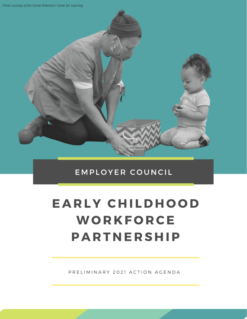*Photo courtesy of the Carole Robertson Center for Learning*



### EMPLOYER COUNCIL

# EARLY CHILDHOOD **WORKFORCE PARTNERSHIP**

PRELIMINARY 2021 ACTION AGENDA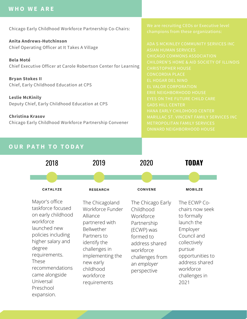#### **W H O W E A R E**

Chicago Early Childhood Workforce Partnership Co-Chairs:

**Anita Andrews-Hutchinson** Chief Operating Officer at It Takes A Village

**Bela Moté** Chief Executive Officer at Carole Robertson Center for Learning

**Bryan Stokes II** Chief, Early Childhood Education at CPS

**Leslie McKinily** Deputy Chief, Early Childhood Education at CPS

**Christina Krasov** Chicago Early Childhood Workforce Partnership Convener

CHICAGO COMMONS ASSOCIATION CONCORDIA PLACE

#### **OUR PATH TO TODAY**

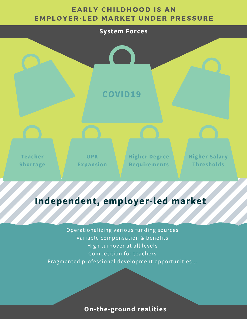#### **EARLY CHILDHOOD IS AN** EMPLOYER-LED MARKET UNDER PRESSURE



# **Independent, employer-led market**

Operationalizing various funding sources Variable compensation & benefits High turnover at all levels Competition for teachers Fragmented professional development opportunities...

**On-the-ground realities**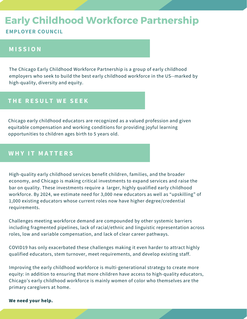# Early Childhood Workforce Partnership

#### **EMPLOYER COUNCIL**

#### **M I S S I O N**

The Chicago Early Childhood Workforce Partnership is a group of early childhood employers who seek to build the best early childhood workforce in the US--marked by high-quality, diversity and equity.

#### **THE RESULT WE SEEK**

Chicago early childhood educators are recognized as a valued profession and given equitable compensation and working conditions for providing joyful learning opportunities to children ages birth to 5 years old.

#### WHY IT MATTERS

High-quality early childhood services benefit children, families, and the broader economy, and Chicago is making critical investments to expand services and raise the bar on quality. These investments require a larger, highly qualified early childhood workforce. By 2024, we estimate need for 3,000 new educators as well as "upskilling" of 1,000 existing educators whose current roles now have higher degree/credential requirements.

Challenges meeting workforce demand are compounded by other systemic barriers including fragmented pipelines, lack of racial/ethnic and linguistic representation across roles, low and variable compensation, and lack of clear career pathways.

COVID19 has only exacerbated these challenges making it even harder to attract highly qualified educators, stem turnover, meet requirements, and develop existing staff.

Improving the early childhood workforce is multi-generational strategy to create more equity: in addition to ensuring that more children have access to high-quality educators, Chicago's early childhood workforce is mainly women of color who themselves are the primary caregivers at home.

#### **We need your help.**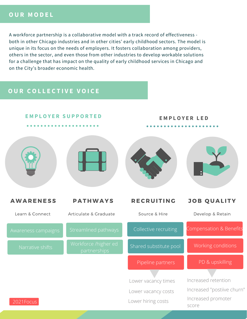#### **O U R M O D E L**

A workforce partnership is a collaborative model with a track record of effectiveness both in other Chicago industries and in other cities' early childhood sectors. The model is unique in its focus on the needs of employers. It fosters collaboration among providers, others in the sector, and even those from other industries to develop workable solutions for a challenge that has impact on the quality of early childhood services in Chicago and on the City's broader economic health.